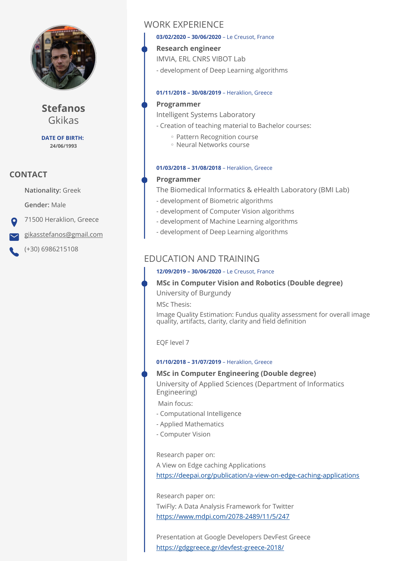

**Stefanos** Gkikas

**DATE OF BIRTH: 24/06/1993**

## **CONTACT**

**Nationality:** Greek

**Gender:** Male

71500 Heraklion, Greece

[gikasstefanos@gmail.com](mailto:gikasstefanos@gmail.com)

(+30) 6986215108

# WORK EXPERIENCE

#### **03/02/2020 – 30/06/2020** – Le Creusot, France

**Research engineer** 

IMVIA, ERL CNRS VIBOT Lab

- development of Deep Learning algorithms

### **01/11/2018 – 30/08/2019** – Heraklion, Greece

### **Programmer**

Intelligent Systems Laboratory

- Creation of teaching material to Bachelor courses:
	- Pattern Recognition course
	- Neural Networks course ◦

### **01/03/2018 – 31/08/2018** – Heraklion, Greece

## **Programmer**

The Biomedical Informatics & eHealth Laboratory (BMI Lab)

- development of Biometric algorithms
- development of Computer Vision algorithms
- development of Machine Learning algorithms
- development of Deep Learning algorithms

# EDUCATION AND TRAINING

### **12/09/2019 – 30/06/2020** – Le Creusot, France

## **MSc in Computer Vision and Robotics (Double degree)**

University of Burgundy

MSc Thesis:

Image Quality Estimation: Fundus quality assessment for overall image quality, artifacts, clarity, clarity and field definition

EQF level 7

### **01/10/2018 – 31/07/2019** – Heraklion, Greece

### **MSc in Computer Engineering (Double degree)**

University of Applied Sciences (Department of Informatics Engineering)

Main focus:

- Computational Intelligence
- Applied Mathematics
- Computer Vision

Research paper on:

A View on Edge caching Applications

<https://deepai.org/publication/a-view-on-edge-caching-applications>

Research paper on: TwiFly: A Data Analysis Framework for Twitter <https://www.mdpi.com/2078-2489/11/5/247>

Presentation at Google Developers DevFest Greece <https://gdggreece.gr/devfest-greece-2018/>